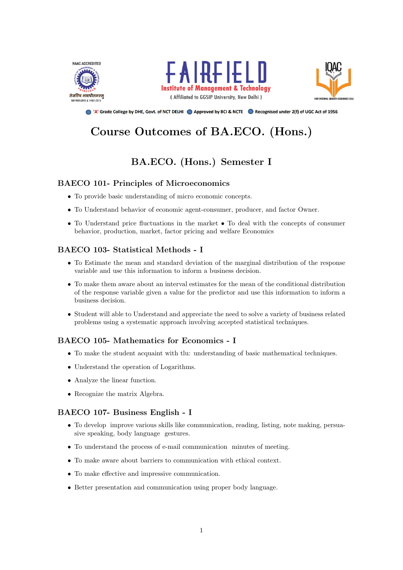





● 'A' Grade College by DHE, Govt. of NCT DELHI ● Approved by BCI & NCTE ● Recognised under 2(f) of UGC Act of 1956

# Course Outcomes of BA.ECO. (Hons.)

## BA.ECO. (Hons.) Semester I

## BAECO 101- Principles of Microeconomics

- To provide basic understanding of micro economic concepts.
- To Understand behavior of economic agent-consumer, producer, and factor Owner.
- To Understand price fluctuations in the market To deal with the concepts of consumer behavior, production, market, factor pricing and welfare Economics

## BAECO 103- Statistical Methods - I

- To Estimate the mean and standard deviation of the marginal distribution of the response variable and use this information to inform a business decision.
- To make them aware about an interval estimates for the mean of the conditional distribution of the response variable given a value for the predictor and use this information to inform a business decision.
- Student will able to Understand and appreciate the need to solve a variety of business related problems using a systematic approach involving accepted statistical techniques.

## BAECO 105- Mathematics for Economics - I

- To make the student acquaint with tlu: understanding of basic mathematical techniques.
- Understand the operation of Logarithms.
- Analyze the linear function.
- Recognize the matrix Algebra.

## BAECO 107- Business English - I

- To develop improve various skills like communication, reading, listing, note making, persuasive speaking, body language gestures.
- To understand the process of e-mail communication minutes of meeting.
- To make aware about barriers to communication with ethical context.
- To make effective and impressive communication.
- Better presentation and communication using proper body language.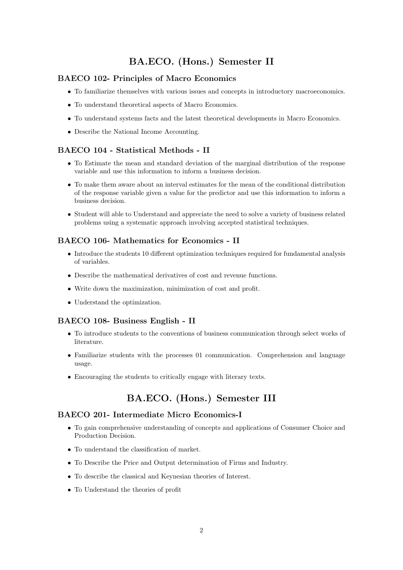## BA.ECO. (Hons.) Semester II

## BAECO 102- Principles of Macro Economics

- To familiarize themselves with various issues and concepts in introductory macroeconomics.
- To understand theoretical aspects of Macro Economics.
- To understand systems facts and the latest theoretical developments in Macro Economics.
- Describe the National Income Accounting.

## BAECO 104 - Statistical Methods - II

- To Estimate the mean and standard deviation of the marginal distribution of the response variable and use this information to inform a business decision.
- To make them aware about an interval estimates for the mean of the conditional distribution of the response variable given a value for the predictor and use this information to inform a business decision.
- Student will able to Understand and appreciate the need to solve a variety of business related problems using a systematic approach involving accepted statistical techniques.

## BAECO 106- Mathematics for Economics - II

- Introduce the students 10 different optimization techniques required for fundamental analysis of variables.
- Describe the mathematical derivatives of cost and revenue functions.
- Write down the maximization, minimization of cost and profit.
- Understand the optimization.

## BAECO 108- Business English - II

- To introduce students to the conventions of business communication through select works of literature.
- Familiarize students with the processes 01 communication. Comprehension and language usage.
- Encouraging the students to critically engage with literary texts.

## BA.ECO. (Hons.) Semester III

#### BAECO 201- Intermediate Micro Economics-I

- To gain comprehensive understanding of concepts and applications of Consumer Choice and Production Decision.
- To understand the classification of market.
- To Describe the Price and Output determination of Firms and Industry.
- To describe the classical and Keynesian theories of Interest.
- To Understand the theories of profit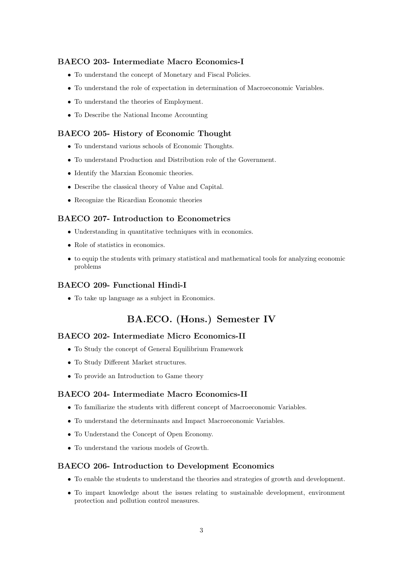## BAECO 203- Intermediate Macro Economics-I

- To understand the concept of Monetary and Fiscal Policies.
- To understand the role of expectation in determination of Macroeconomic Variables.
- To understand the theories of Employment.
- To Describe the National Income Accounting

#### BAECO 205- History of Economic Thought

- To understand various schools of Economic Thoughts.
- To understand Production and Distribution role of the Government.
- Identify the Marxian Economic theories.
- Describe the classical theory of Value and Capital.
- Recognize the Ricardian Economic theories

#### BAECO 207- Introduction to Econometrics

- Understanding in quantitative techniques with in economics.
- Role of statistics in economics.
- to equip the students with primary statistical and mathematical tools for analyzing economic problems

#### BAECO 209- Functional Hindi-I

• To take up language as a subject in Economics.

## BA.ECO. (Hons.) Semester IV

#### BAECO 202- Intermediate Micro Economics-II

- To Study the concept of General Equilibrium Framework
- To Study Different Market structures.
- To provide an Introduction to Game theory

#### BAECO 204- Intermediate Macro Economics-II

- To familiarize the students with different concept of Macroeconomic Variables.
- To understand the determinants and Impact Macroeconomic Variables.
- To Understand the Concept of Open Economy.
- To understand the various models of Growth.

#### BAECO 206- Introduction to Development Economics

- To enable the students to understand the theories and strategies of growth and development.
- To impart knowledge about the issues relating to sustainable development, environment protection and pollution control measures.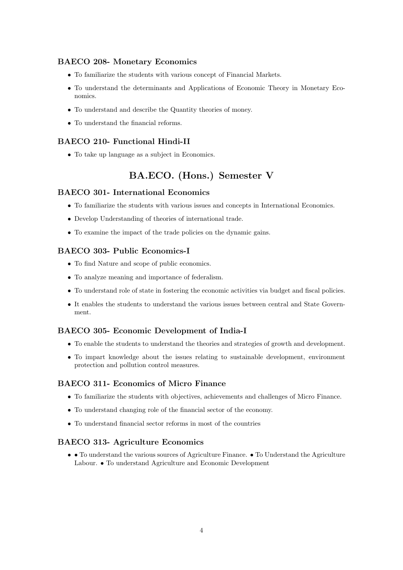## BAECO 208- Monetary Economics

- To familiarize the students with various concept of Financial Markets.
- To understand the determinants and Applications of Economic Theory in Monetary Economics.
- To understand and describe the Quantity theories of money.
- To understand the financial reforms.

## BAECO 210- Functional Hindi-II

• To take up language as a subject in Economics.

## BA.ECO. (Hons.) Semester V

#### BAECO 301- International Economics

- To familiarize the students with various issues and concepts in International Economics.
- Develop Understanding of theories of international trade.
- To examine the impact of the trade policies on the dynamic gains.

## BAECO 303- Public Economics-I

- To find Nature and scope of public economics.
- To analyze meaning and importance of federalism.
- To understand role of state in fostering the economic activities via budget and fiscal policies.
- It enables the students to understand the various issues between central and State Government.

## BAECO 305- Economic Development of India-I

- To enable the students to understand the theories and strategies of growth and development.
- To impart knowledge about the issues relating to sustainable development, environment protection and pollution control measures.

## BAECO 311- Economics of Micro Finance

- To familiarize the students with objectives, achievements and challenges of Micro Finance.
- To understand changing role of the financial sector of the economy.
- To understand financial sector reforms in most of the countries

## BAECO 313- Agriculture Economics

• • To understand the various sources of Agriculture Finance. • To Understand the Agriculture Labour. • To understand Agriculture and Economic Development